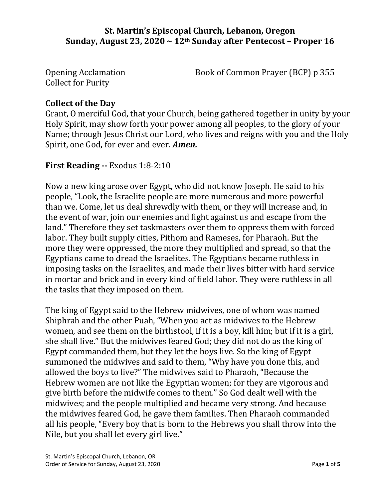### **St. Martin's Episcopal Church, Lebanon, Oregon Sunday, August 23, 2020 ~ 12th Sunday after Pentecost – Proper 16**

Collect for Purity

Opening Acclamation Book of Common Prayer (BCP) p 355

## **Collect of the Day**

Grant, O merciful God, that your Church, being gathered together in unity by your Holy Spirit, may show forth your power among all peoples, to the glory of your Name; through Jesus Christ our Lord, who lives and reigns with you and the Holy Spirit, one God, for ever and ever. *Amen.*

## **First Reading --** Exodus 1:8-2:10

Now a new king arose over Egypt, who did not know Joseph. He said to his people, "Look, the Israelite people are more numerous and more powerful than we. Come, let us deal shrewdly with them, or they will increase and, in the event of war, join our enemies and fight against us and escape from the land." Therefore they set taskmasters over them to oppress them with forced labor. They built supply cities, Pithom and Rameses, for Pharaoh. But the more they were oppressed, the more they multiplied and spread, so that the Egyptians came to dread the Israelites. The Egyptians became ruthless in imposing tasks on the Israelites, and made their lives bitter with hard service in mortar and brick and in every kind of field labor. They were ruthless in all the tasks that they imposed on them.

The king of Egypt said to the Hebrew midwives, one of whom was named Shiphrah and the other Puah, "When you act as midwives to the Hebrew women, and see them on the birthstool, if it is a boy, kill him; but if it is a girl, she shall live." But the midwives feared God; they did not do as the king of Egypt commanded them, but they let the boys live. So the king of Egypt summoned the midwives and said to them, "Why have you done this, and allowed the boys to live?" The midwives said to Pharaoh, "Because the Hebrew women are not like the Egyptian women; for they are vigorous and give birth before the midwife comes to them." So God dealt well with the midwives; and the people multiplied and became very strong. And because the midwives feared God, he gave them families. Then Pharaoh commanded all his people, "Every boy that is born to the Hebrews you shall throw into the Nile, but you shall let every girl live."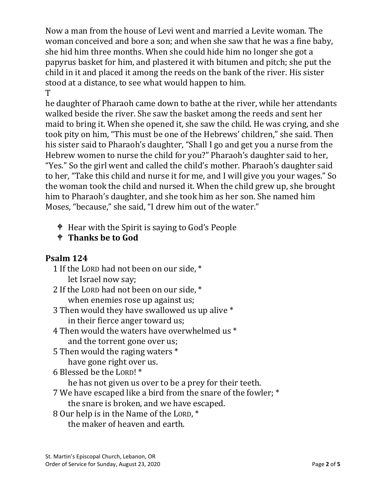Now a man from the house of Levi went and married a Levite woman. The woman conceived and bore a son; and when she saw that he was a fine baby, she hid him three months. When she could hide him no longer she got a papyrus basket for him, and plastered it with bitumen and pitch; she put the child in it and placed it among the reeds on the bank of the river. His sister stood at a distance, to see what would happen to him. T

he daughter of Pharaoh came down to bathe at the river, while her attendants walked beside the river. She saw the basket among the reeds and sent her maid to bring it. When she opened it, she saw the child. He was crying, and she took pity on him, "This must be one of the Hebrews' children," she said. Then his sister said to Pharaoh's daughter, "Shall I go and get you a nurse from the Hebrew women to nurse the child for you?" Pharaoh's daughter said to her, "Yes." So the girl went and called the child's mother. Pharaoh's daughter said to her, "Take this child and nurse it for me, and I will give you your wages." So the woman took the child and nursed it. When the child grew up, she brought him to Pharaoh's daughter, and she took him as her son. She named him Moses, "because," she said, "I drew him out of the water."

- Hear with the Spirit is saying to God's People
- **Thanks be to God**

# **Psalm 124**

- 1 If the LORD had not been on our side, \* let Israel now say;
- 2 If the LORD had not been on our side, \* when enemies rose up against us;
- 3 Then would they have swallowed us up alive \* in their fierce anger toward us;
- 4 Then would the waters have overwhelmed us \* and the torrent gone over us;
- 5 Then would the raging waters \* have gone right over us.
- 6 Blessed be the LORD! \*

he has not given us over to be a prey for their teeth.

- 7 We have escaped like a bird from the snare of the fowler; \*
- the snare is broken, and we have escaped.
- 8 Our help is in the Name of the LORD, \* the maker of heaven and earth.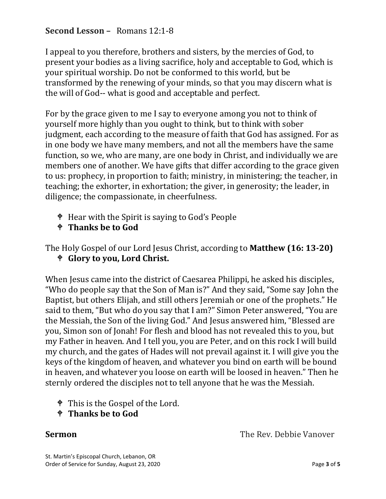## **Second Lesson –** Romans 12:1-8

I appeal to you therefore, brothers and sisters, by the mercies of God, to present your bodies as a living sacrifice, holy and acceptable to God, which is your spiritual worship. Do not be conformed to this world, but be transformed by the renewing of your minds, so that you may discern what is the will of God-- what is good and acceptable and perfect.

For by the grace given to me I say to everyone among you not to think of yourself more highly than you ought to think, but to think with sober judgment, each according to the measure of faith that God has assigned. For as in one body we have many members, and not all the members have the same function, so we, who are many, are one body in Christ, and individually we are members one of another. We have gifts that differ according to the grace given to us: prophecy, in proportion to faith; ministry, in ministering; the teacher, in teaching; the exhorter, in exhortation; the giver, in generosity; the leader, in diligence; the compassionate, in cheerfulness.

- Hear with the Spirit is saying to God's People
- **Thanks be to God**

The Holy Gospel of our Lord Jesus Christ, according to **Matthew (16: 13-20)**

**Glory to you, Lord Christ.**

When Jesus came into the district of Caesarea Philippi, he asked his disciples, "Who do people say that the Son of Man is?" And they said, "Some say John the Baptist, but others Elijah, and still others Jeremiah or one of the prophets." He said to them, "But who do you say that I am?" Simon Peter answered, "You are the Messiah, the Son of the living God." And Jesus answered him, "Blessed are you, Simon son of Jonah! For flesh and blood has not revealed this to you, but my Father in heaven. And I tell you, you are Peter, and on this rock I will build my church, and the gates of Hades will not prevail against it. I will give you the keys of the kingdom of heaven, and whatever you bind on earth will be bound in heaven, and whatever you loose on earth will be loosed in heaven." Then he sternly ordered the disciples not to tell anyone that he was the Messiah.

- This is the Gospel of the Lord.
- **Thanks be to God**

**Sermon** The Rev. Debbie Vanover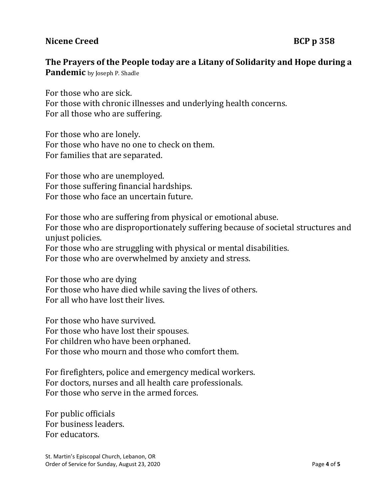#### **Nicene Creed BCP p 358**

#### **The Prayers of the People today are a Litany of Solidarity and Hope during a Pandemic** by Joseph P. Shadle

For those who are sick. For those with chronic illnesses and underlying health concerns. For all those who are suffering.

For those who are lonely. For those who have no one to check on them. For families that are separated.

For those who are unemployed. For those suffering financial hardships. For those who face an uncertain future.

For those who are suffering from physical or emotional abuse. For those who are disproportionately suffering because of societal structures and unjust policies.

For those who are struggling with physical or mental disabilities. For those who are overwhelmed by anxiety and stress.

For those who are dying For those who have died while saving the lives of others. For all who have lost their lives.

For those who have survived. For those who have lost their spouses. For children who have been orphaned. For those who mourn and those who comfort them.

For firefighters, police and emergency medical workers. For doctors, nurses and all health care professionals. For those who serve in the armed forces.

For public officials For business leaders. For educators.